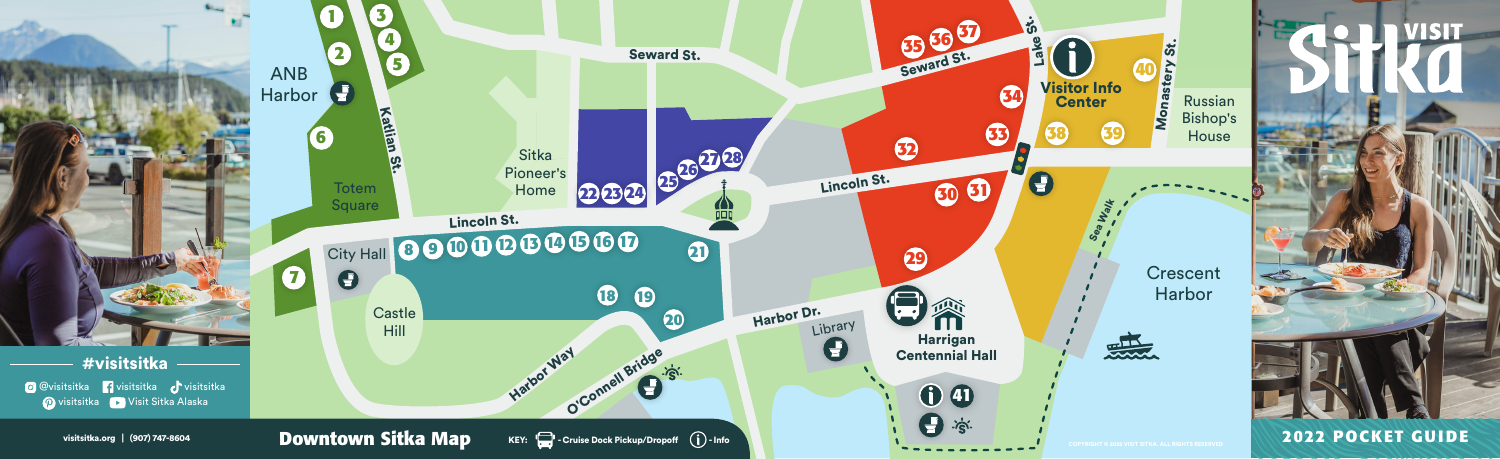